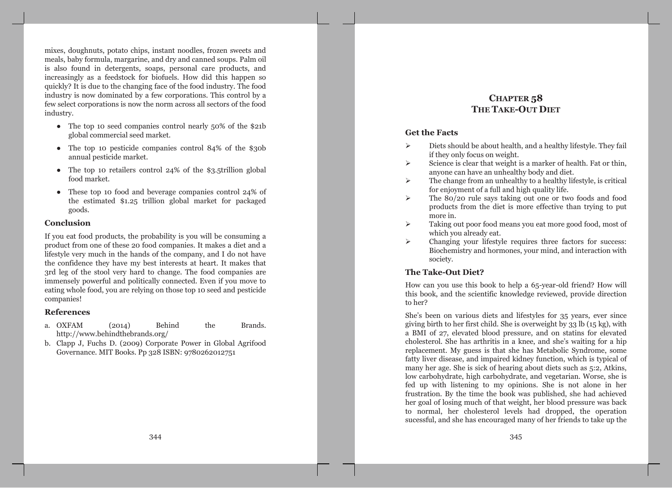mixes, doughnuts, potato chips, instant noodles, frozen sweets and meals, baby formula, margarine, and dry and canned soups. Palm oil is also found in detergents, soaps, personal care products, and increasingly as a feedstock for biofuels. How did this happen so quickly? It is due to the changing face of the food industry. The food industry is now dominated by a few corporations. This control by a few select corporations is now the norm across all sectors of the food industry.

- The top 10 seed companies control nearly  $50\%$  of the \$21b global commercial seed market.
- The top 10 pesticide companies control 84% of the \$30b annual pesticide market.
- The top 10 retailers control 24% of the \$3.5trillion global food market.
- These top 10 food and beverage companies control 24% of the estimated \$1.25 trillion global market for packaged goods.

## Conclusion

If you eat food products, the probability is you will be consuming a product from one of these 20 food companies. It makes a diet and a lifestyle very much in the hands of the company, and I do not have the confidence they have my best interests at heart. It makes that 3rd leg of the stool very hard to change. The food companies are immensely powerful and politically connected. Even if you move to eating whole food, you are relying on those top 10 seed and pesticide companies!

## **References**

- **Behind** the a. OXFAM  $(2014)$ Brands. http://www.behindthebrands.org/
- b. Clapp J, Fuchs D. (2009) Corporate Power in Global Agrifood Governance. MIT Books. Pp 328 ISBN: 9780262012751

# CHAPTER<sub>58</sub> **THE TAKE-OUT DIET**

## **Get the Facts**

- $\blacktriangleright$ Diets should be about health, and a healthy lifestyle. They fail if they only focus on weight.
- Science is clear that weight is a marker of health. Fat or thin,  $\blacktriangleright$ anyone can have an unhealthy body and diet.
- The change from an unhealthy to a healthy lifestyle, is critical  $\blacktriangleright$ for enjoyment of a full and high quality life.
- The 80/20 rule says taking out one or two foods and food  $\blacktriangleright$ products from the diet is more effective than trying to put more in.
- $\blacktriangleright$ Taking out poor food means you eat more good food, most of which you already eat.
- $\blacktriangleright$ Changing your lifestyle requires three factors for success: Biochemistry and hormones, your mind, and interaction with society.

# **The Take-Out Diet?**

How can you use this book to help a 65-year-old friend? How will this book, and the scientific knowledge reviewed, provide direction to her?

She's been on various diets and lifestyles for 35 years, ever since giving birth to her first child. She is overweight by 33 lb (15 kg), with a BMI of 27, elevated blood pressure, and on statins for elevated cholesterol. She has arthritis in a knee, and she's waiting for a hip replacement. My guess is that she has Metabolic Syndrome, some fatty liver disease, and impaired kidney function, which is typical of many her age. She is sick of hearing about diets such as 5:2, Atkins, low carbohydrate, high carbohydrate, and vegetarian. Worse, she is fed up with listening to my opinions. She is not alone in her frustration. By the time the book was published, she had achieved her goal of losing much of that weight, her blood pressure was back to normal, her cholesterol levels had dropped, the operation sucessful, and she has encouraged many of her friends to take up the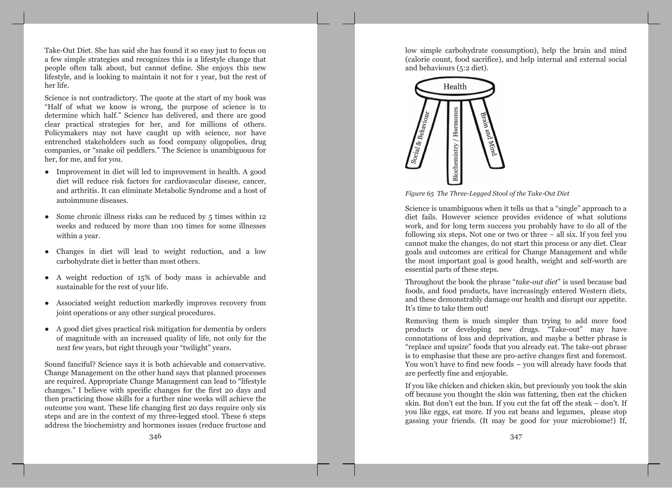Take-Out Diet. She has said she has found it so easy just to focus on a few simple strategies and recognizes this is a lifestyle change that people often talk about, but cannot define. She enjoys this new lifestyle, and is looking to maintain it not for 1 year, but the rest of her life.

Science is not contradictory. The quote at the start of my book was "Half of what we know is wrong, the purpose of science is to determine which half." Science has delivered, and there are good clear practical strategies for her, and for millions of others. Policymakers may not have caught up with science, nor have entrenched stakeholders such as food company oligopolies, drug companies, or "snake oil peddlers." The Science is unambiguous for her, for me, and for you.

- Improvement in diet will led to improvement in health. A good diet will reduce risk factors for cardiovascular disease, cancer, and arthritis. It can eliminate Metabolic Syndrome and a host of autoimmune diseases.
- Some chronic illness risks can be reduced by  $5$  times within 12 weeks and reduced by more than 100 times for some illnesses within a year.
- Changes in diet will lead to weight reduction, and a low carbohydrate diet is better than most others.
- A weight reduction of 15% of body mass is achievable and sustainable for the rest of your life.
- Associated weight reduction markedly improves recovery from joint operations or any other surgical procedures.
- A good diet gives practical risk mitigation for dementia by orders of magnitude with an increased quality of life, not only for the next few years, but right through your "twilight" years.

Sound fanciful? Science says it is both achievable and conservative. Change Management on the other hand says that planned processes are required. Appropriate Change Management can lead to "lifestyle" changes." I believe with specific changes for the first 20 days and then practicing those skills for a further nine weeks will achieve the outcome you want. These life changing first 20 days require only six steps and are in the context of my three-legged stool. These 6 steps address the biochemistry and hormones issues (reduce fructose and

low simple carbohydrate consumption), help the brain and mind (calorie count, food sacrifice), and help internal and external social and behaviours (5:2 diet).



Figure 65 The Three-Legged Stool of the Take-Out Diet

Science is unambiguous when it tells us that a "single" approach to a diet fails. However science provides evidence of what solutions work, and for long term success you probably have to do all of the following six steps. Not one or two or three  $-$  all six. If you feel you cannot make the changes, do not start this process or any diet. Clear goals and outcomes are critical for Change Management and while the most important goal is good health, weight and self-worth are essential parts of these steps.

Throughout the book the phrase "take-out diet" is used because bad foods, and food products, have increasingly entered Western diets, and these demonstrably damage our health and disrupt our appetite. It's time to take them out!

Removing them is much simpler than trying to add more food products or developing new drugs. "Take-out" may have connotations of loss and deprivation, and maybe a better phrase is "replace and upsize" foods that you already eat. The take-out phrase is to emphasise that these are pro-active changes first and foremost. You won't have to find new foods - you will already have foods that are perfectly fine and enjoyable.

If you like chicken and chicken skin, but previously you took the skin off because you thought the skin was fattening, then eat the chicken skin. But don't eat the bun. If you cut the fat off the steak – don't. If vou like eggs, eat more. If you eat beans and legumes, please stop gassing your friends. (It may be good for your microbiome!) If,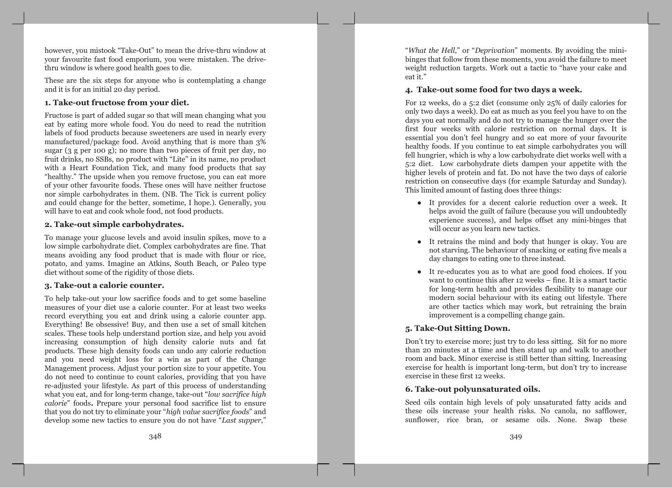however, you mistook "Take-Out" to mean the drive-thru window at your favourite fast food emporium, you were mistaken. The drivethru window is where good health goes to die.

These are the six steps for anyone who is contemplating a change and it is for an initial 20 day period.

## 1. Take-out fructose from your diet.

Fructose is part of added sugar so that will mean changing what you eat by eating more whole food. You do need to read the nutrition labels of food products because sweeteners are used in nearly every manufactured/package food. Avoid anything that is more than 3% sugar  $(3 \text{ g per 100 g})$ ; no more than two pieces of fruit per day, no fruit drinks, no SSBs, no product with "Lite" in its name, no product with a Heart Foundation Tick, and many food products that say "healthy," The upside when you remove fructose, you can eat more of your other favourite foods. These ones will have neither fructose nor simple carbohydrates in them. (NB. The Tick is current policy and could change for the better, sometime, I hope.). Generally, you will have to eat and cook whole food, not food products.

## 2. Take-out simple carbohydrates.

To manage your glucose levels and avoid insulin spikes, move to a low simple carbohydrate diet. Complex carbohydrates are fine. That means avoiding any food product that is made with flour or rice, potato, and yams. Imagine an Atkins, South Beach, or Paleo type diet without some of the rigidity of those diets.

## 3. Take-out a calorie counter.

To help take-out your low sacrifice foods and to get some baseline measures of your diet use a calorie counter. For at least two weeks record everything you eat and drink using a calorie counter app. Everything! Be obsessive! Buy, and then use a set of small kitchen scales. These tools help understand portion size, and help you avoid increasing consumption of high density calorie nuts and fat products. These high density foods can undo any calorie reduction and you need weight loss for a win as part of the Change Management process. Adjust your portion size to your appetite. You do not need to continue to count calories, providing that you have re-adjusted your lifestyle. As part of this process of understanding what you eat, and for long-term change, take-out "low sacrifice high calorie" foods. Prepare your personal food sacrifice list to ensure that you do not try to eliminate your "high value sacrifice foods" and develop some new tactics to ensure you do not have "Last supper,"

"What the Hell," or "Deprivation" moments. By avoiding the minibinges that follow from these moments, you avoid the failure to meet weight reduction targets. Work out a tactic to "have your cake and eat it."

#### 4. Take-out some food for two days a week.

For 12 weeks, do a 5:2 diet (consume only 25% of daily calories for only two days a week). Do eat as much as you feel you have to on the days you eat normally and do not try to manage the hunger over the first four weeks with calorie restriction on normal days. It is essential you don't feel hungry and so eat more of your favourite healthy foods. If you continue to eat simple carbohydrates you will fell hungrier, which is why a low carbohydrate diet works well with a 5:2 diet. Low carbohydrate diets dampen your appetite with the higher levels of protein and fat. Do not have the two days of calorie restriction on consecutive days (for example Saturday and Sunday). This limited amount of fasting does three things:

- It provides for a decent calorie reduction over a week. It helps avoid the guilt of failure (because you will undoubtedly experience success), and helps offset any mini-binges that will occur as you learn new tactics.
- It retrains the mind and body that hunger is okay. You are not starving. The behaviour of snacking or eating five meals a day changes to eating one to three instead.
- It re-educates you as to what are good food choices. If you want to continue this after 12 weeks – fine. It is a smart tactic for long-term health and provides flexibility to manage our modern social behaviour with its eating out lifestyle. There are other tactics which may work, but retraining the brain improvement is a compelling change gain.

# 5. Take-Out Sitting Down.

Don't try to exercise more; just try to do less sitting. Sit for no more than 20 minutes at a time and then stand up and walk to another room and back. Minor exercise is still better than sitting. Increasing exercise for health is important long-term, but don't try to increase exercise in these first 12 weeks.

## 6. Take-out polyunsaturated oils.

Seed oils contain high levels of poly unsaturated fatty acids and these oils increase your health risks. No canola, no safflower, sunflower, rice bran, or sesame oils. None. Swap these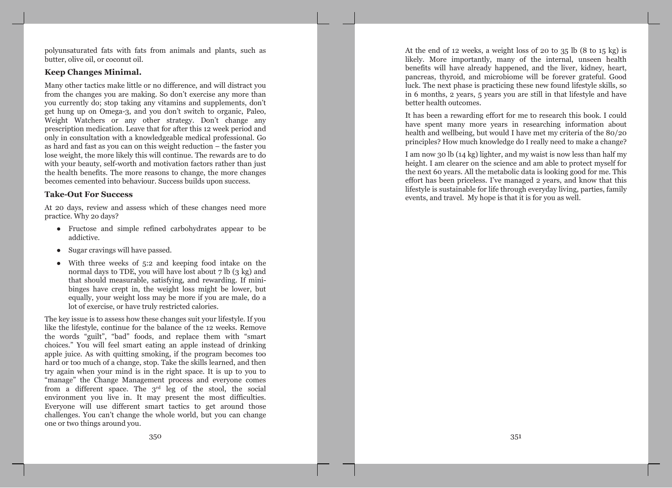polyunsaturated fats with fats from animals and plants, such as butter, olive oil, or coconut oil.

#### **Keep Changes Minimal.**

Many other tactics make little or no difference, and will distract you from the changes you are making. So don't exercise any more than you currently do; stop taking any vitamins and supplements, don't get hung up on Omega-3, and you don't switch to organic, Paleo, Weight Watchers or any other strategy. Don't change any prescription medication. Leave that for after this 12 week period and only in consultation with a knowledgeable medical professional. Go as hard and fast as you can on this weight reduction – the faster you lose weight, the more likely this will continue. The rewards are to do with your beauty, self-worth and motivation factors rather than just the health benefits. The more reasons to change, the more changes becomes cemented into behaviour. Success builds upon success.

#### **Take-Out For Success**

At 20 days, review and assess which of these changes need more practice. Why 20 days?

- Fructose and simple refined carbohydrates appear to be addictive.
- Sugar cravings will have passed.
- With three weeks of  $5:2$  and keeping food intake on the normal days to TDE, you will have lost about 7 lb (3 kg) and that should measurable, satisfying, and rewarding. If minibinges have crept in, the weight loss might be lower, but equally, your weight loss may be more if you are male, do a lot of exercise, or have truly restricted calories.

The key issue is to assess how these changes suit your lifestyle. If you like the lifestyle, continue for the balance of the 12 weeks. Remove the words "guilt", "bad" foods, and replace them with "smart" choices." You will feel smart eating an apple instead of drinking apple juice. As with quitting smoking, if the program becomes too hard or too much of a change, stop. Take the skills learned, and then try again when your mind is in the right space. It is up to you to "manage" the Change Management process and everyone comes from a different space. The 3<sup>rd</sup> leg of the stool, the social environment you live in. It may present the most difficulties. Everyone will use different smart tactics to get around those challenges. You can't change the whole world, but you can change one or two things around you.

At the end of 12 weeks, a weight loss of 20 to  $35 \text{ lb}$  (8 to  $15 \text{ kg}$ ) is likely. More importantly, many of the internal, unseen health benefits will have already happened, and the liver, kidney, heart, pancreas, thyroid, and microbiome will be forever grateful. Good luck. The next phase is practicing these new found lifestyle skills, so in 6 months, 2 years, 5 years you are still in that lifestyle and have better health outcomes.

It has been a rewarding effort for me to research this book. I could have spent many more years in researching information about health and wellbeing, but would I have met my criteria of the 80/20 principles? How much knowledge do I really need to make a change?

I am now 30 lb (14 kg) lighter, and my waist is now less than half my height. I am clearer on the science and am able to protect myself for the next 60 years. All the metabolic data is looking good for me. This effort has been priceless. I've managed 2 years, and know that this lifestyle is sustainable for life through everyday living, parties, family events, and travel. My hope is that it is for you as well.